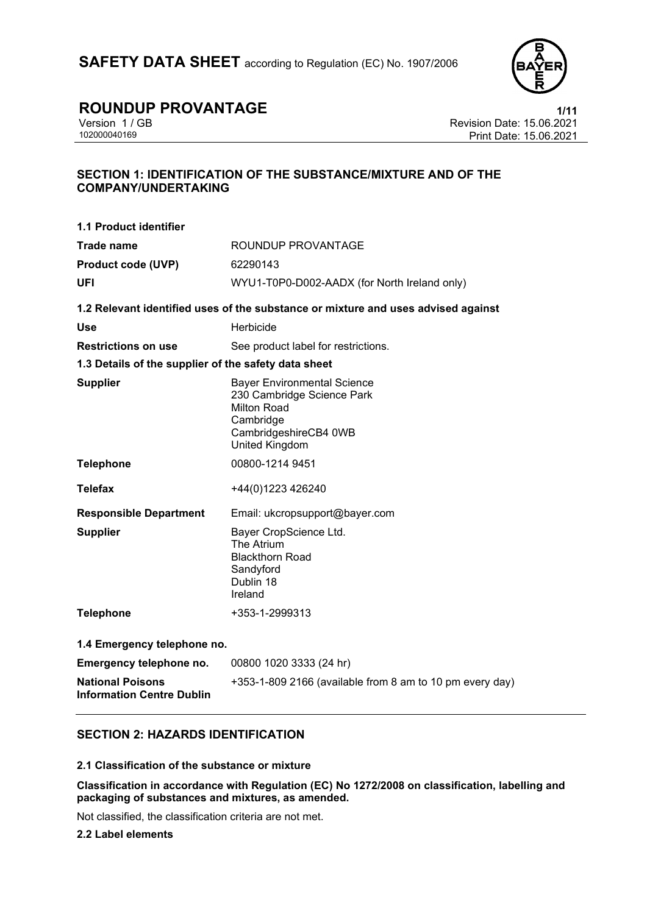

Version 1 / GB Revision Date: 15.06.2021 Print Date: 15.06.2021

### **SECTION 1: IDENTIFICATION OF THE SUBSTANCE/MIXTURE AND OF THE COMPANY/UNDERTAKING**

| <b>1.1 Product identifier</b>                               |                                                                                                                                                       |
|-------------------------------------------------------------|-------------------------------------------------------------------------------------------------------------------------------------------------------|
| <b>Trade name</b>                                           | ROUNDUP PROVANTAGE                                                                                                                                    |
| <b>Product code (UVP)</b>                                   | 62290143                                                                                                                                              |
| UFI                                                         | WYU1-T0P0-D002-AADX (for North Ireland only)                                                                                                          |
|                                                             | 1.2 Relevant identified uses of the substance or mixture and uses advised against                                                                     |
| <b>Use</b>                                                  | Herbicide                                                                                                                                             |
| <b>Restrictions on use</b>                                  | See product label for restrictions.                                                                                                                   |
| 1.3 Details of the supplier of the safety data sheet        |                                                                                                                                                       |
| <b>Supplier</b>                                             | <b>Bayer Environmental Science</b><br>230 Cambridge Science Park<br><b>Milton Road</b><br>Cambridge<br>CambridgeshireCB4 0WB<br><b>United Kingdom</b> |
| <b>Telephone</b>                                            | 00800-1214 9451                                                                                                                                       |
| <b>Telefax</b>                                              | +44(0)1223 426240                                                                                                                                     |
| <b>Responsible Department</b>                               | Email: ukcropsupport@bayer.com                                                                                                                        |
| <b>Supplier</b>                                             | Bayer CropScience Ltd.<br>The Atrium<br><b>Blackthorn Road</b><br>Sandyford<br>Dublin 18<br>Ireland                                                   |
| <b>Telephone</b>                                            | +353-1-2999313                                                                                                                                        |
| 1.4 Emergency telephone no.                                 |                                                                                                                                                       |
| Emergency telephone no.                                     | 00800 1020 3333 (24 hr)                                                                                                                               |
| <b>National Poisons</b><br><b>Information Centre Dublin</b> | +353-1-809 2166 (available from 8 am to 10 pm every day)                                                                                              |

### **SECTION 2: HAZARDS IDENTIFICATION**

#### **2.1 Classification of the substance or mixture**

**Classification in accordance with Regulation (EC) No 1272/2008 on classification, labelling and packaging of substances and mixtures, as amended.**

Not classified, the classification criteria are not met.

**2.2 Label elements**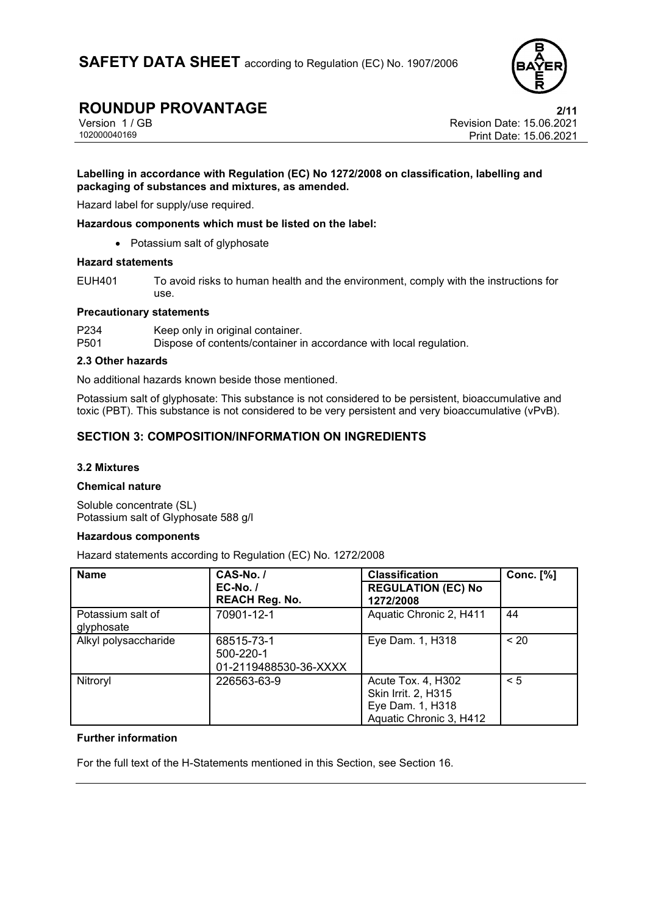

# **ROUNDUP PROVANTAGE**<br>Version 1 / GB **PROVANTAGE** Revision Date: 15.06.2021

Version 1 / GB Revision Date: 15.06.2021 Print Date: 15.06.2021

#### **Labelling in accordance with Regulation (EC) No 1272/2008 on classification, labelling and packaging of substances and mixtures, as amended.**

Hazard label for supply/use required.

**Hazardous components which must be listed on the label:**

• Potassium salt of glyphosate

#### **Hazard statements**

EUH401 To avoid risks to human health and the environment, comply with the instructions for use.

#### **Precautionary statements**

P234 Keep only in original container.<br>P501 Dispose of contents/container in

Dispose of contents/container in accordance with local regulation.

#### **2.3 Other hazards**

No additional hazards known beside those mentioned.

Potassium salt of glyphosate: This substance is not considered to be persistent, bioaccumulative and toxic (PBT). This substance is not considered to be very persistent and very bioaccumulative (vPvB).

### **SECTION 3: COMPOSITION/INFORMATION ON INGREDIENTS**

#### **3.2 Mixtures**

#### **Chemical nature**

Soluble concentrate (SL) Potassium salt of Glyphosate 588 g/l

#### **Hazardous components**

Hazard statements according to Regulation (EC) No. 1272/2008

| <b>Name</b>                     | CAS-No./                                         | <b>Classification</b>                                                                    | <b>Conc.</b> [%] |
|---------------------------------|--------------------------------------------------|------------------------------------------------------------------------------------------|------------------|
|                                 | $EC-No.$<br><b>REACH Reg. No.</b>                | <b>REGULATION (EC) No</b><br>1272/2008                                                   |                  |
| Potassium salt of<br>glyphosate | 70901-12-1                                       | Aquatic Chronic 2, H411                                                                  | 44               |
| Alkyl polysaccharide            | 68515-73-1<br>500-220-1<br>01-2119488530-36-XXXX | Eye Dam. 1, H318                                                                         | < 20             |
| Nitroryl                        | 226563-63-9                                      | Acute Tox. 4, H302<br>Skin Irrit. 2, H315<br>Eye Dam. 1, H318<br>Aquatic Chronic 3, H412 | < 5              |

#### **Further information**

For the full text of the H-Statements mentioned in this Section, see Section 16.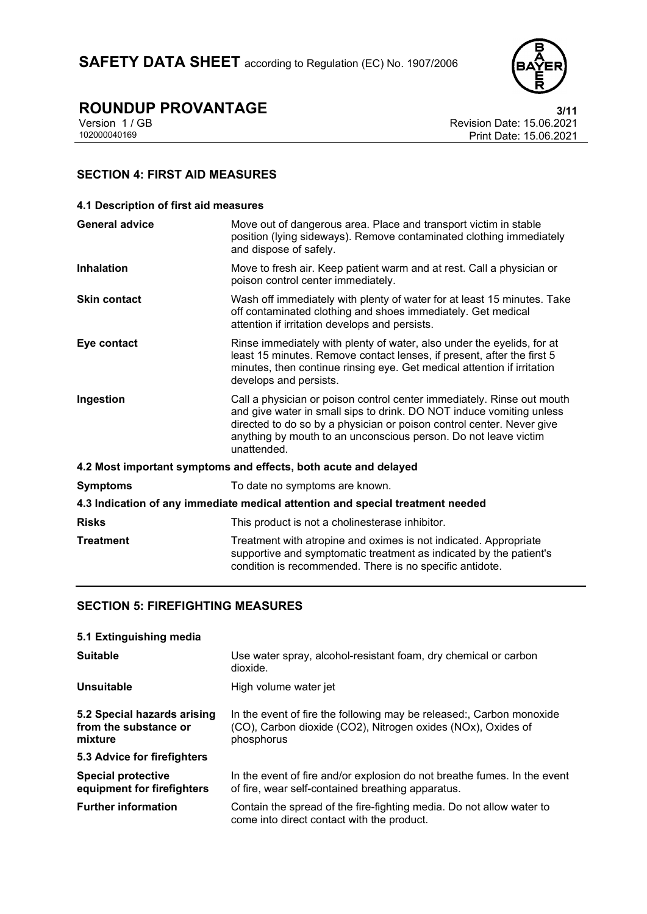

Version 1 / GB Revision Date: 15.06.2021 Print Date: 15.06.2021

# **SECTION 4: FIRST AID MEASURES**

| 4.1 Description of first aid measures                                          |                                                                                                                                                                                                                                                                                                           |  |
|--------------------------------------------------------------------------------|-----------------------------------------------------------------------------------------------------------------------------------------------------------------------------------------------------------------------------------------------------------------------------------------------------------|--|
| <b>General advice</b>                                                          | Move out of dangerous area. Place and transport victim in stable<br>position (lying sideways). Remove contaminated clothing immediately<br>and dispose of safely.                                                                                                                                         |  |
| <b>Inhalation</b>                                                              | Move to fresh air. Keep patient warm and at rest. Call a physician or<br>poison control center immediately.                                                                                                                                                                                               |  |
| <b>Skin contact</b>                                                            | Wash off immediately with plenty of water for at least 15 minutes. Take<br>off contaminated clothing and shoes immediately. Get medical<br>attention if irritation develops and persists.                                                                                                                 |  |
| Eye contact                                                                    | Rinse immediately with plenty of water, also under the eyelids, for at<br>least 15 minutes. Remove contact lenses, if present, after the first 5<br>minutes, then continue rinsing eye. Get medical attention if irritation<br>develops and persists.                                                     |  |
| Ingestion                                                                      | Call a physician or poison control center immediately. Rinse out mouth<br>and give water in small sips to drink. DO NOT induce vomiting unless<br>directed to do so by a physician or poison control center. Never give<br>anything by mouth to an unconscious person. Do not leave victim<br>unattended. |  |
| 4.2 Most important symptoms and effects, both acute and delayed                |                                                                                                                                                                                                                                                                                                           |  |
| <b>Symptoms</b>                                                                | To date no symptoms are known.                                                                                                                                                                                                                                                                            |  |
| 4.3 Indication of any immediate medical attention and special treatment needed |                                                                                                                                                                                                                                                                                                           |  |
| <b>Risks</b>                                                                   | This product is not a cholinesterase inhibitor.                                                                                                                                                                                                                                                           |  |
| <b>Treatment</b>                                                               | Treatment with atropine and oximes is not indicated. Appropriate<br>supportive and symptomatic treatment as indicated by the patient's<br>condition is recommended. There is no specific antidote.                                                                                                        |  |

### **SECTION 5: FIREFIGHTING MEASURES**

| 5.1 Extinguishing media                                         |                                                                                                                                                    |
|-----------------------------------------------------------------|----------------------------------------------------------------------------------------------------------------------------------------------------|
| <b>Suitable</b>                                                 | Use water spray, alcohol-resistant foam, dry chemical or carbon<br>dioxide.                                                                        |
| Unsuitable                                                      | High volume water jet                                                                                                                              |
| 5.2 Special hazards arising<br>from the substance or<br>mixture | In the event of fire the following may be released:, Carbon monoxide<br>(CO), Carbon dioxide (CO2), Nitrogen oxides (NOx), Oxides of<br>phosphorus |
| 5.3 Advice for firefighters                                     |                                                                                                                                                    |
| <b>Special protective</b><br>equipment for firefighters         | In the event of fire and/or explosion do not breathe fumes. In the event<br>of fire, wear self-contained breathing apparatus.                      |
| <b>Further information</b>                                      | Contain the spread of the fire-fighting media. Do not allow water to<br>come into direct contact with the product.                                 |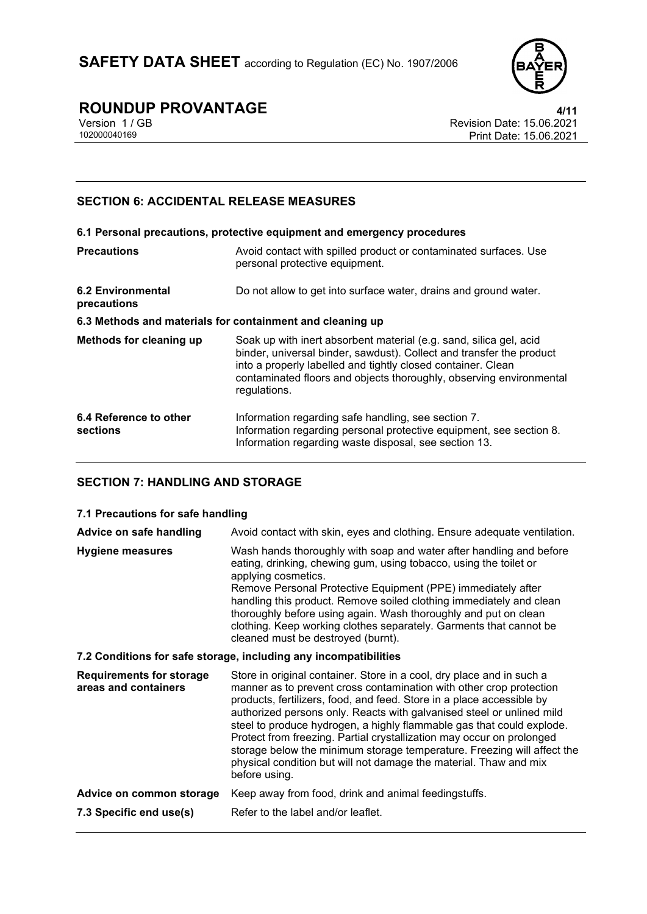

Version 1 / GB Revision Date: 15.06.2021 Print Date: 15.06.2021

# **SECTION 6: ACCIDENTAL RELEASE MEASURES**

| 6.1 Personal precautions, protective equipment and emergency procedures |                                                                                                                                                                                                                                                                                                   |  |
|-------------------------------------------------------------------------|---------------------------------------------------------------------------------------------------------------------------------------------------------------------------------------------------------------------------------------------------------------------------------------------------|--|
| <b>Precautions</b>                                                      | Avoid contact with spilled product or contaminated surfaces. Use<br>personal protective equipment.                                                                                                                                                                                                |  |
| <b>6.2 Environmental</b><br>precautions                                 | Do not allow to get into surface water, drains and ground water.                                                                                                                                                                                                                                  |  |
| 6.3 Methods and materials for containment and cleaning up               |                                                                                                                                                                                                                                                                                                   |  |
| Methods for cleaning up                                                 | Soak up with inert absorbent material (e.g. sand, silica gel, acid<br>binder, universal binder, sawdust). Collect and transfer the product<br>into a properly labelled and tightly closed container. Clean<br>contaminated floors and objects thoroughly, observing environmental<br>regulations. |  |
| 6.4 Reference to other<br>sections                                      | Information regarding safe handling, see section 7.<br>Information regarding personal protective equipment, see section 8.<br>Information regarding waste disposal, see section 13.                                                                                                               |  |

# **SECTION 7: HANDLING AND STORAGE**

#### **7.1 Precautions for safe handling**

| <b>Hygiene measures</b><br>applying cosmetics.                           | Wash hands thoroughly with soap and water after handling and before<br>eating, drinking, chewing gum, using tobacco, using the toilet or<br>Remove Personal Protective Equipment (PPE) immediately after<br>handling this product. Remove soiled clothing immediately and clean<br>thoroughly before using again. Wash thoroughly and put on clean                                                                                                                                                                                                                                               |
|--------------------------------------------------------------------------|--------------------------------------------------------------------------------------------------------------------------------------------------------------------------------------------------------------------------------------------------------------------------------------------------------------------------------------------------------------------------------------------------------------------------------------------------------------------------------------------------------------------------------------------------------------------------------------------------|
|                                                                          | clothing. Keep working clothes separately. Garments that cannot be<br>cleaned must be destroyed (burnt).                                                                                                                                                                                                                                                                                                                                                                                                                                                                                         |
| 7.2 Conditions for safe storage, including any incompatibilities         |                                                                                                                                                                                                                                                                                                                                                                                                                                                                                                                                                                                                  |
| <b>Requirements for storage</b><br>areas and containers<br>before using. | Store in original container. Store in a cool, dry place and in such a<br>manner as to prevent cross contamination with other crop protection<br>products, fertilizers, food, and feed. Store in a place accessible by<br>authorized persons only. Reacts with galvanised steel or unlined mild<br>steel to produce hydrogen, a highly flammable gas that could explode.<br>Protect from freezing. Partial crystallization may occur on prolonged<br>storage below the minimum storage temperature. Freezing will affect the<br>physical condition but will not damage the material. Thaw and mix |
| Advice on common storage                                                 | Keep away from food, drink and animal feedingstuffs.                                                                                                                                                                                                                                                                                                                                                                                                                                                                                                                                             |
| 7.3 Specific end use(s)                                                  | Refer to the label and/or leaflet.                                                                                                                                                                                                                                                                                                                                                                                                                                                                                                                                                               |
|                                                                          |                                                                                                                                                                                                                                                                                                                                                                                                                                                                                                                                                                                                  |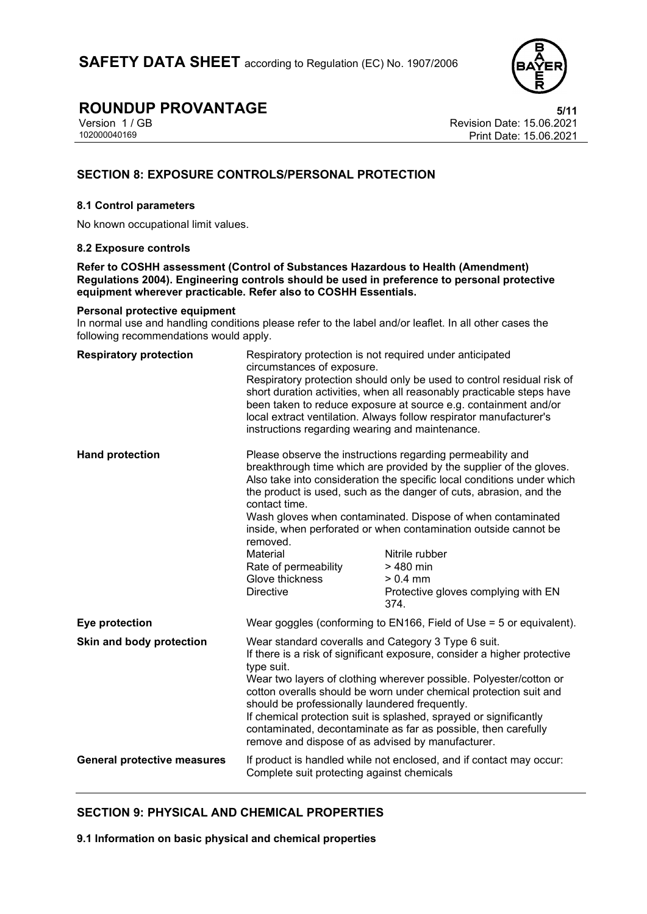

Version 1 / GB Revision Date: 15.06.2021 Print Date: 15.06.2021

## **SECTION 8: EXPOSURE CONTROLS/PERSONAL PROTECTION**

#### **8.1 Control parameters**

No known occupational limit values.

#### **8.2 Exposure controls**

**Refer to COSHH assessment (Control of Substances Hazardous to Health (Amendment) Regulations 2004). Engineering controls should be used in preference to personal protective equipment wherever practicable. Refer also to COSHH Essentials.**

#### **Personal protective equipment**

In normal use and handling conditions please refer to the label and/or leaflet. In all other cases the following recommendations would apply.

| <b>Respiratory protection</b>      | Respiratory protection is not required under anticipated<br>circumstances of exposure.<br>instructions regarding wearing and maintenance.                                                                                                                                                                                                                                                                                                                                                                                              | Respiratory protection should only be used to control residual risk of<br>short duration activities, when all reasonably practicable steps have<br>been taken to reduce exposure at source e.g. containment and/or<br>local extract ventilation. Always follow respirator manufacturer's                                                                                                                                                                                                                         |
|------------------------------------|----------------------------------------------------------------------------------------------------------------------------------------------------------------------------------------------------------------------------------------------------------------------------------------------------------------------------------------------------------------------------------------------------------------------------------------------------------------------------------------------------------------------------------------|------------------------------------------------------------------------------------------------------------------------------------------------------------------------------------------------------------------------------------------------------------------------------------------------------------------------------------------------------------------------------------------------------------------------------------------------------------------------------------------------------------------|
| <b>Hand protection</b>             | contact time.<br>removed.<br>Material<br>Rate of permeability<br>Glove thickness<br><b>Directive</b>                                                                                                                                                                                                                                                                                                                                                                                                                                   | Please observe the instructions regarding permeability and<br>breakthrough time which are provided by the supplier of the gloves.<br>Also take into consideration the specific local conditions under which<br>the product is used, such as the danger of cuts, abrasion, and the<br>Wash gloves when contaminated. Dispose of when contaminated<br>inside, when perforated or when contamination outside cannot be<br>Nitrile rubber<br>$>480$ min<br>$> 0.4$ mm<br>Protective gloves complying with EN<br>374. |
| Eye protection                     |                                                                                                                                                                                                                                                                                                                                                                                                                                                                                                                                        | Wear goggles (conforming to EN166, Field of Use = 5 or equivalent).                                                                                                                                                                                                                                                                                                                                                                                                                                              |
| Skin and body protection           | Wear standard coveralls and Category 3 Type 6 suit.<br>If there is a risk of significant exposure, consider a higher protective<br>type suit.<br>Wear two layers of clothing wherever possible. Polyester/cotton or<br>cotton overalls should be worn under chemical protection suit and<br>should be professionally laundered frequently.<br>If chemical protection suit is splashed, sprayed or significantly<br>contaminated, decontaminate as far as possible, then carefully<br>remove and dispose of as advised by manufacturer. |                                                                                                                                                                                                                                                                                                                                                                                                                                                                                                                  |
| <b>General protective measures</b> | Complete suit protecting against chemicals                                                                                                                                                                                                                                                                                                                                                                                                                                                                                             | If product is handled while not enclosed, and if contact may occur:                                                                                                                                                                                                                                                                                                                                                                                                                                              |

### **SECTION 9: PHYSICAL AND CHEMICAL PROPERTIES**

**9.1 Information on basic physical and chemical properties**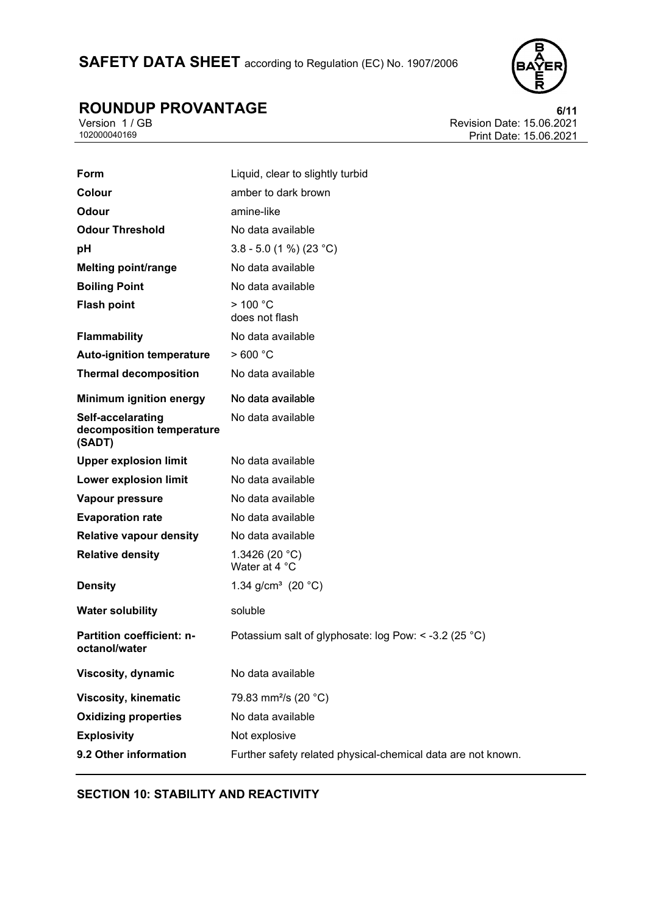# SAFETY DATA SHEET according to Regulation (EC) No. 1907/2006



# **ROUNDUP PROVANTAGE**<br>Version 1/GB<br>Revision Date: 15.06.2021

Version 1 / GB Revision Date: 15.06.2021 Print Date: 15.06.2021

| Form                                                     | Liquid, clear to slightly turbid                             |
|----------------------------------------------------------|--------------------------------------------------------------|
| Colour                                                   | amber to dark brown                                          |
| Odour                                                    | amine-like                                                   |
| <b>Odour Threshold</b>                                   | No data available                                            |
| pH                                                       | 3.8 - 5.0 (1 %) (23 °C)                                      |
| <b>Melting point/range</b>                               | No data available                                            |
| <b>Boiling Point</b>                                     | No data available                                            |
| <b>Flash point</b>                                       | > 100 °C<br>does not flash                                   |
| <b>Flammability</b>                                      | No data available                                            |
| <b>Auto-ignition temperature</b>                         | >600 °C                                                      |
| <b>Thermal decomposition</b>                             | No data available                                            |
| <b>Minimum ignition energy</b>                           | No data available                                            |
| Self-accelarating<br>decomposition temperature<br>(SADT) | No data available                                            |
| <b>Upper explosion limit</b>                             | No data available                                            |
| <b>Lower explosion limit</b>                             | No data available                                            |
| Vapour pressure                                          | No data available                                            |
| <b>Evaporation rate</b>                                  | No data available                                            |
| <b>Relative vapour density</b>                           | No data available                                            |
| <b>Relative density</b>                                  | 1.3426 (20 $°C$ )<br>Water at 4 °C                           |
| <b>Density</b>                                           | 1.34 g/cm <sup>3</sup> (20 $^{\circ}$ C)                     |
| <b>Water solubility</b>                                  | soluble                                                      |
| <b>Partition coefficient: n-</b><br>octanol/water        | Potassium salt of glyphosate: log Pow: < -3.2 (25 °C)        |
| <b>Viscosity, dynamic</b>                                | No data available                                            |
| <b>Viscosity, kinematic</b>                              | 79.83 mm <sup>2</sup> /s (20 °C)                             |
| <b>Oxidizing properties</b>                              | No data available                                            |
| <b>Explosivity</b>                                       | Not explosive                                                |
| 9.2 Other information                                    | Further safety related physical-chemical data are not known. |

# **SECTION 10: STABILITY AND REACTIVITY**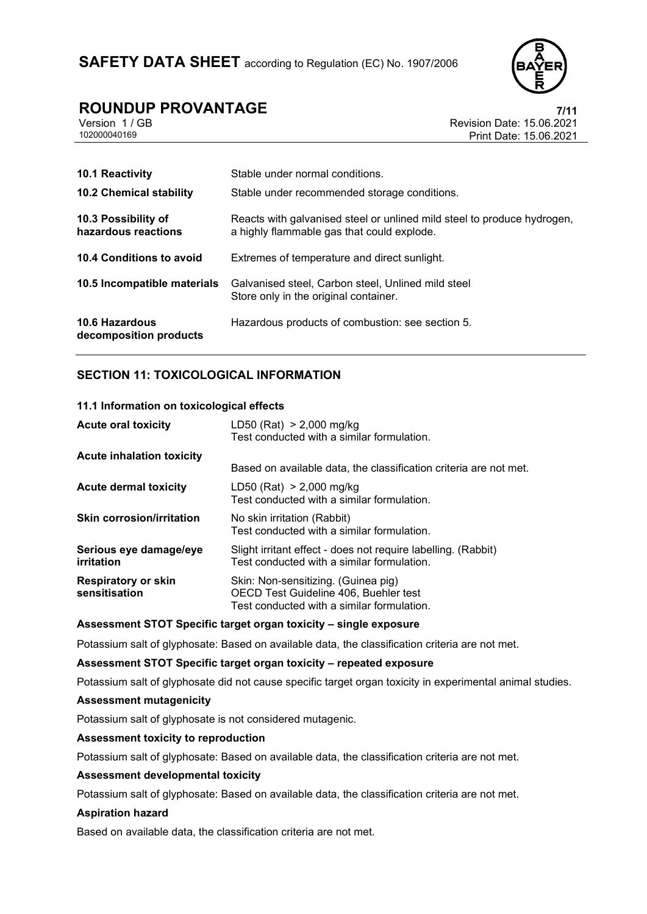

Version 1 / GB Revision Date: 15.06.2021 Print Date: 15.06.2021

| 10.1 Reactivity<br><b>10.2 Chemical stability</b> | Stable under normal conditions.<br>Stable under recommended storage conditions.                                       |
|---------------------------------------------------|-----------------------------------------------------------------------------------------------------------------------|
| 10.3 Possibility of<br>hazardous reactions        | Reacts with galvanised steel or unlined mild steel to produce hydrogen,<br>a highly flammable gas that could explode. |
| 10.4 Conditions to avoid                          | Extremes of temperature and direct sunlight.                                                                          |
| 10.5 Incompatible materials                       | Galvanised steel, Carbon steel, Unlined mild steel<br>Store only in the original container.                           |
| 10.6 Hazardous<br>decomposition products          | Hazardous products of combustion: see section 5.                                                                      |

### **SECTION 11: TOXICOLOGICAL INFORMATION**

#### **11.1 Information on toxicological effects**

| <b>Acute oral toxicity</b>                  | LD50 (Rat) $> 2,000$ mg/kg<br>Test conducted with a similar formulation.                                                   |
|---------------------------------------------|----------------------------------------------------------------------------------------------------------------------------|
| <b>Acute inhalation toxicity</b>            |                                                                                                                            |
|                                             | Based on available data, the classification criteria are not met.                                                          |
| <b>Acute dermal toxicity</b>                | LD50 (Rat) $> 2,000$ mg/kg<br>Test conducted with a similar formulation.                                                   |
| <b>Skin corrosion/irritation</b>            | No skin irritation (Rabbit)<br>Test conducted with a similar formulation.                                                  |
| Serious eye damage/eye<br>irritation        | Slight irritant effect - does not require labelling. (Rabbit)<br>Test conducted with a similar formulation.                |
| <b>Respiratory or skin</b><br>sensitisation | Skin: Non-sensitizing. (Guinea pig)<br>OECD Test Guideline 406, Buehler test<br>Test conducted with a similar formulation. |

#### **Assessment STOT Specific target organ toxicity – single exposure**

Potassium salt of glyphosate: Based on available data, the classification criteria are not met.

#### **Assessment STOT Specific target organ toxicity – repeated exposure**

Potassium salt of glyphosate did not cause specific target organ toxicity in experimental animal studies.

#### **Assessment mutagenicity**

Potassium salt of glyphosate is not considered mutagenic.

#### **Assessment toxicity to reproduction**

Potassium salt of glyphosate: Based on available data, the classification criteria are not met.

#### **Assessment developmental toxicity**

Potassium salt of glyphosate: Based on available data, the classification criteria are not met.

#### **Aspiration hazard**

Based on available data, the classification criteria are not met.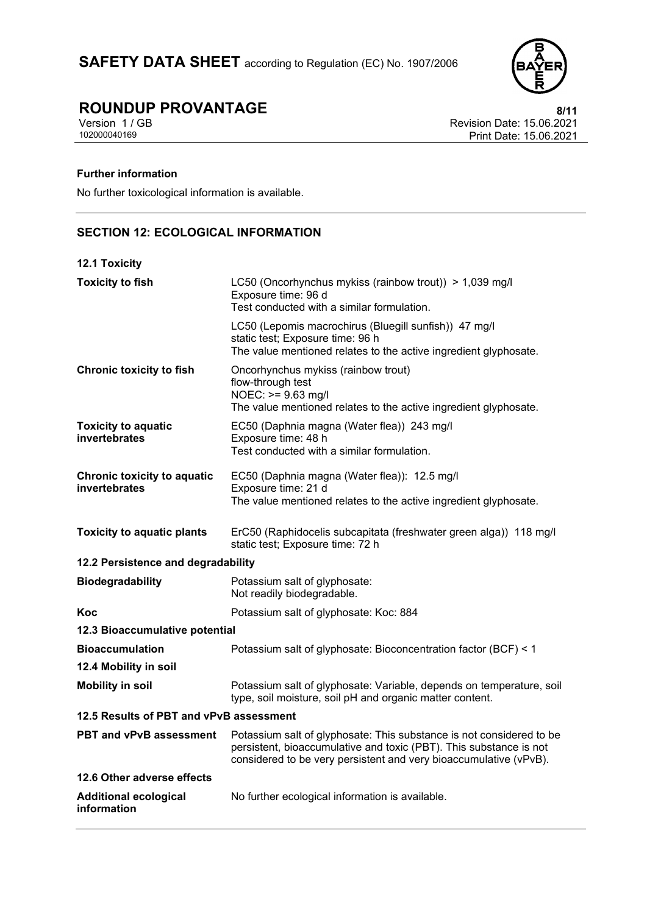

Version 1 / GB Revision Date: 15.06.2021 Print Date: 15.06.2021

## **Further information**

No further toxicological information is available.

# **SECTION 12: ECOLOGICAL INFORMATION**

## **12.1 Toxicity**

| <b>Toxicity to fish</b>                             | LC50 (Oncorhynchus mykiss (rainbow trout)) > 1,039 mg/l<br>Exposure time: 96 d<br>Test conducted with a similar formulation.                                                                                    |  |
|-----------------------------------------------------|-----------------------------------------------------------------------------------------------------------------------------------------------------------------------------------------------------------------|--|
|                                                     | LC50 (Lepomis macrochirus (Bluegill sunfish)) 47 mg/l<br>static test; Exposure time: 96 h<br>The value mentioned relates to the active ingredient glyphosate.                                                   |  |
| <b>Chronic toxicity to fish</b>                     | Oncorhynchus mykiss (rainbow trout)<br>flow-through test<br>$NOEC: \ge 9.63$ mg/l<br>The value mentioned relates to the active ingredient glyphosate.                                                           |  |
| <b>Toxicity to aquatic</b><br>invertebrates         | EC50 (Daphnia magna (Water flea)) 243 mg/l<br>Exposure time: 48 h<br>Test conducted with a similar formulation.                                                                                                 |  |
| <b>Chronic toxicity to aquatic</b><br>invertebrates | EC50 (Daphnia magna (Water flea)): 12.5 mg/l<br>Exposure time: 21 d<br>The value mentioned relates to the active ingredient glyphosate.                                                                         |  |
| <b>Toxicity to aquatic plants</b>                   | ErC50 (Raphidocelis subcapitata (freshwater green alga)) 118 mg/l<br>static test; Exposure time: 72 h                                                                                                           |  |
| 12.2 Persistence and degradability                  |                                                                                                                                                                                                                 |  |
| <b>Biodegradability</b>                             | Potassium salt of glyphosate:<br>Not readily biodegradable.                                                                                                                                                     |  |
| Koc                                                 | Potassium salt of glyphosate: Koc: 884                                                                                                                                                                          |  |
| 12.3 Bioaccumulative potential                      |                                                                                                                                                                                                                 |  |
| <b>Bioaccumulation</b>                              | Potassium salt of glyphosate: Bioconcentration factor (BCF) < 1                                                                                                                                                 |  |
| 12.4 Mobility in soil                               |                                                                                                                                                                                                                 |  |
| <b>Mobility in soil</b>                             | Potassium salt of glyphosate: Variable, depends on temperature, soil<br>type, soil moisture, soil pH and organic matter content.                                                                                |  |
| 12.5 Results of PBT and vPvB assessment             |                                                                                                                                                                                                                 |  |
| <b>PBT and vPvB assessment</b>                      | Potassium salt of glyphosate: This substance is not considered to be<br>persistent, bioaccumulative and toxic (PBT). This substance is not<br>considered to be very persistent and very bioaccumulative (vPvB). |  |
| 12.6 Other adverse effects                          |                                                                                                                                                                                                                 |  |
| <b>Additional ecological</b><br>information         | No further ecological information is available.                                                                                                                                                                 |  |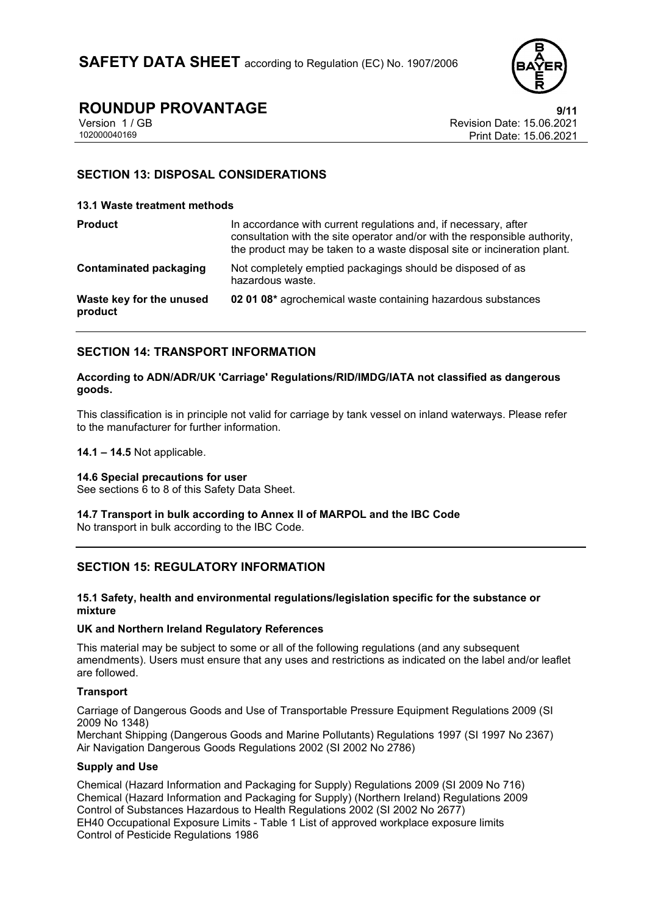

# **ROUNDUP PROVANTAGE**<br>Version 1 / GB **15.06.2021**

Version 1 / GB Revision Date: 15.06.2021 Print Date: 15.06.2021

### **SECTION 13: DISPOSAL CONSIDERATIONS**

#### **13.1 Waste treatment methods**

| <b>Product</b>                      | In accordance with current regulations and, if necessary, after<br>consultation with the site operator and/or with the responsible authority,<br>the product may be taken to a waste disposal site or incineration plant. |
|-------------------------------------|---------------------------------------------------------------------------------------------------------------------------------------------------------------------------------------------------------------------------|
| Contaminated packaging              | Not completely emptied packagings should be disposed of as<br>hazardous waste.                                                                                                                                            |
| Waste key for the unused<br>product | 02 01 08* agrochemical waste containing hazardous substances                                                                                                                                                              |

### **SECTION 14: TRANSPORT INFORMATION**

#### **According to ADN/ADR/UK 'Carriage' Regulations/RID/IMDG/IATA not classified as dangerous goods.**

This classification is in principle not valid for carriage by tank vessel on inland waterways. Please refer to the manufacturer for further information.

**14.1 – 14.5** Not applicable.

#### **14.6 Special precautions for user**

See sections 6 to 8 of this Safety Data Sheet.

#### **14.7 Transport in bulk according to Annex II of MARPOL and the IBC Code** No transport in bulk according to the IBC Code.

# **SECTION 15: REGULATORY INFORMATION**

#### **15.1 Safety, health and environmental regulations/legislation specific for the substance or mixture**

#### **UK and Northern Ireland Regulatory References**

This material may be subject to some or all of the following regulations (and any subsequent amendments). Users must ensure that any uses and restrictions as indicated on the label and/or leaflet are followed.

#### **Transport**

Carriage of Dangerous Goods and Use of Transportable Pressure Equipment Regulations 2009 (SI 2009 No 1348)

Merchant Shipping (Dangerous Goods and Marine Pollutants) Regulations 1997 (SI 1997 No 2367) Air Navigation Dangerous Goods Regulations 2002 (SI 2002 No 2786)

#### **Supply and Use**

Chemical (Hazard Information and Packaging for Supply) Regulations 2009 (SI 2009 No 716) Chemical (Hazard Information and Packaging for Supply) (Northern Ireland) Regulations 2009 Control of Substances Hazardous to Health Regulations 2002 (SI 2002 No 2677) EH40 Occupational Exposure Limits - Table 1 List of approved workplace exposure limits Control of Pesticide Regulations 1986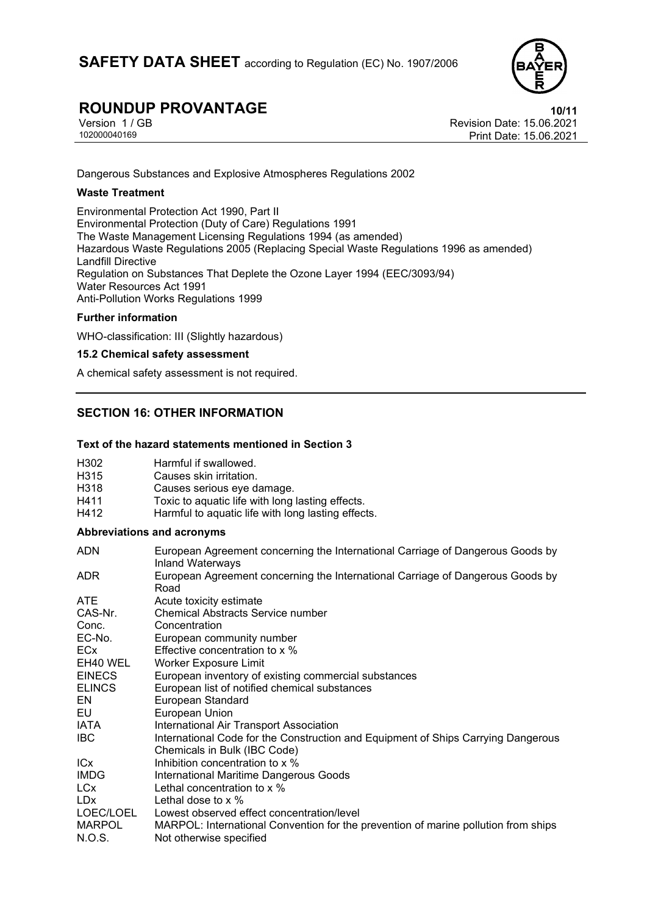

Version 1 / GB Revision Date: 15.06.2021 Print Date: 15.06.2021

Dangerous Substances and Explosive Atmospheres Regulations 2002

#### **Waste Treatment**

Environmental Protection Act 1990, Part II Environmental Protection (Duty of Care) Regulations 1991 The Waste Management Licensing Regulations 1994 (as amended) Hazardous Waste Regulations 2005 (Replacing Special Waste Regulations 1996 as amended) Landfill Directive Regulation on Substances That Deplete the Ozone Layer 1994 (EEC/3093/94) Water Resources Act 1991 Anti-Pollution Works Regulations 1999

#### **Further information**

WHO-classification: III (Slightly hazardous)

#### **15.2 Chemical safety assessment**

A chemical safety assessment is not required.

### **SECTION 16: OTHER INFORMATION**

#### **Text of the hazard statements mentioned in Section 3**

| H302             | Harmful if swallowed.                              |
|------------------|----------------------------------------------------|
| H <sub>315</sub> | Causes skin irritation.                            |
| H318             | Causes serious eye damage.                         |
| H411             | Toxic to aquatic life with long lasting effects.   |
| H412             | Harmful to aquatic life with long lasting effects. |
|                  |                                                    |

#### **Abbreviations and acronyms**

| ADN           | European Agreement concerning the International Carriage of Dangerous Goods by<br><b>Inland Waterways</b> |
|---------------|-----------------------------------------------------------------------------------------------------------|
| ADR.          | European Agreement concerning the International Carriage of Dangerous Goods by<br>Road                    |
| <b>ATE</b>    | Acute toxicity estimate                                                                                   |
| CAS-Nr.       | <b>Chemical Abstracts Service number</b>                                                                  |
| Conc.         | Concentration                                                                                             |
| EC-No.        | European community number                                                                                 |
| <b>ECx</b>    | Effective concentration to x %                                                                            |
| EH40 WEL      | <b>Worker Exposure Limit</b>                                                                              |
| <b>EINECS</b> | European inventory of existing commercial substances                                                      |
| <b>ELINCS</b> | European list of notified chemical substances                                                             |
| EN            | <b>European Standard</b>                                                                                  |
| EU            | European Union                                                                                            |
| IATA          | International Air Transport Association                                                                   |
| IBC.          | International Code for the Construction and Equipment of Ships Carrying Dangerous                         |
|               | Chemicals in Bulk (IBC Code)                                                                              |
| <b>ICx</b>    | Inhibition concentration to x %                                                                           |
| <b>IMDG</b>   | International Maritime Dangerous Goods                                                                    |
| <b>LCx</b>    | Lethal concentration to x %                                                                               |
| <b>LDx</b>    | Lethal dose to $\times$ %                                                                                 |
| LOEC/LOEL     | Lowest observed effect concentration/level                                                                |
| <b>MARPOL</b> | MARPOL: International Convention for the prevention of marine pollution from ships                        |
| N.O.S.        | Not otherwise specified                                                                                   |